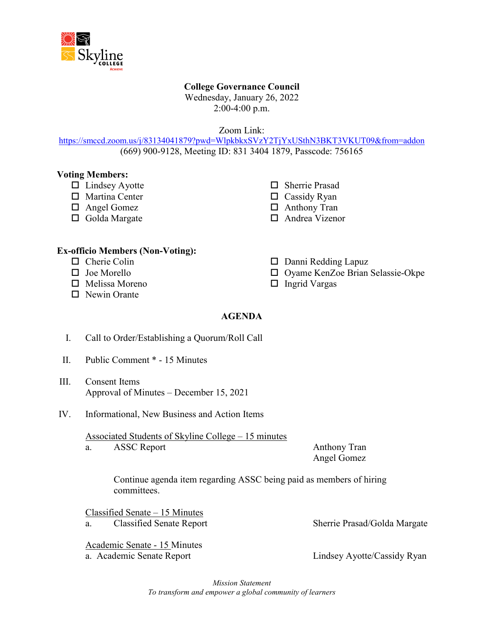

# **College Governance Council**

Wednesday, January 26, 2022 2:00-4:00 p.m.

Zoom Link:

<https://smccd.zoom.us/j/83134041879?pwd=WlpkbkxSVzY2TjYxUSthN3BKT3VKUT09&from=addon> (669) 900-9128, Meeting ID: 831 3404 1879, Passcode: 756165

#### **Voting Members:**

- $\Box$  Lindsey Ayotte
- $\Box$  Martina Center
- □ Angel Gomez
- $\Box$  Golda Margate
- □ Sherrie Prasad
- $\Box$  Cassidy Ryan
- □ Anthony Tran
- □ Andrea Vizenor

#### **Ex-officio Members (Non-Voting):**

- $\Box$  Cherie Colin
- $\Box$  Joe Morello
- $\Box$  Melissa Moreno
- $\Box$  Newin Orante

 $\Box$  Danni Redding Lapuz

- □ Oyame KenZoe Brian Selassie-Okpe
- $\Box$  Ingrid Vargas

# **AGENDA**

- I. Call to Order/Establishing a Quorum/Roll Call
- II. Public Comment \* 15 Minutes
- III. Consent Items Approval of Minutes – December 15, 2021
- IV. Informational, New Business and Action Items

Associated Students of Skyline College – 15 minutes a. ASSC Report Anthony Tran

Angel Gomez

Continue agenda item regarding ASSC being paid as members of hiring committees.

Classified Senate – 15 Minutes

a. Classified Senate Report Sherrie Prasad/Golda Margate

Academic Senate - 15 Minutes a. Academic Senate Report Lindsey Ayotte/Cassidy Ryan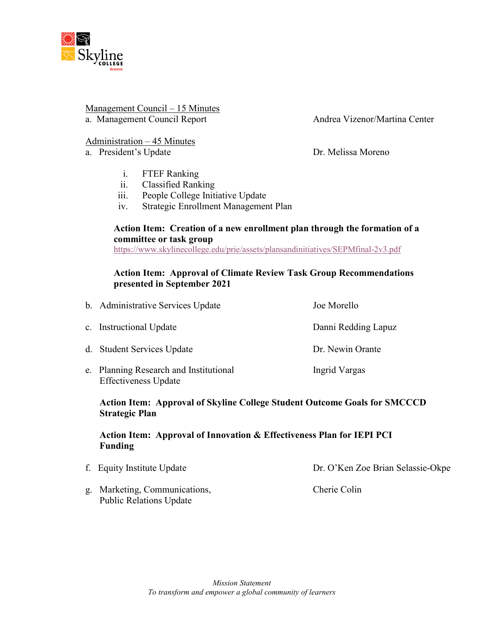

# Management Council – 15 Minutes

a. Management Council Report **Andrea Vizenor/Martina Center** Andrea Vizenor/Martina Center

# Administration – 45 Minutes

a. President's Update Dr. Melissa Moreno

- i. FTEF Ranking
- ii. Classified Ranking
- iii. People College Initiative Update
- iv. Strategic Enrollment Management Plan

#### **Action Item: Creation of a new enrollment plan through the formation of a committee or task group**

<https://www.skylinecollege.edu/prie/assets/plansandinitiatives/SEPMfinal-2v3.pdf>

## **Action Item: Approval of Climate Review Task Group Recommendations presented in September 2021**

| b. Administrative Services Update | Joe Morello         |
|-----------------------------------|---------------------|
| c. Instructional Update           | Danni Redding Lapuz |
| d. Student Services Update        | Dr. Newin Orante    |
|                                   |                     |

e. Planning Research and Institutional Ingrid Vargas Effectiveness Update

**Action Item: Approval of Skyline College Student Outcome Goals for SMCCCD Strategic Plan**

# **Action Item: Approval of Innovation & Effectiveness Plan for IEPI PCI Funding**

- f. Equity Institute Update Dr. O'Ken Zoe Brian Selassie-Okpe
- g. Marketing, Communications, Cherie Colin Public Relations Update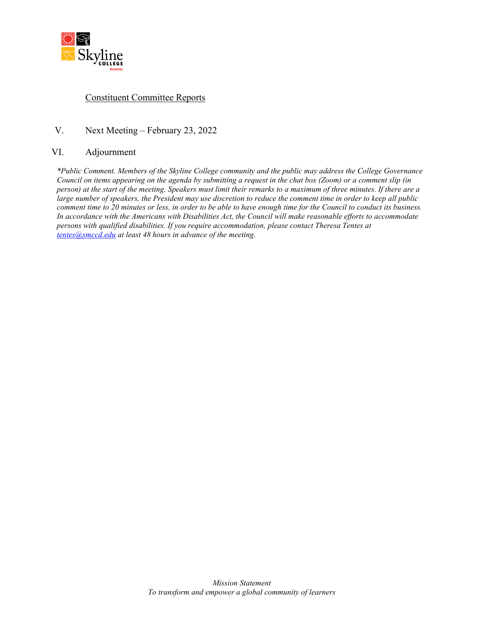

### Constituent Committee Reports

#### V. Next Meeting – February 23, 2022

#### VI. Adjournment

*\*Public Comment. Members of the Skyline College community and the public may address the College Governance Council on items appearing on the agenda by submitting a request in the chat box (Zoom) or a comment slip (in person) at the start of the meeting. Speakers must limit their remarks to a maximum of three minutes. If there are a large number of speakers, the President may use discretion to reduce the comment time in order to keep all public comment time to 20 minutes or less, in order to be able to have enough time for the Council to conduct its business. In accordance with the Americans with Disabilities Act, the Council will make reasonable efforts to accommodate persons with qualified disabilities. If you require accommodation, please contact Theresa Tentes at [tentes@smccd.edu](mailto:tentes@smccd.edu) at least 48 hours in advance of the meeting.*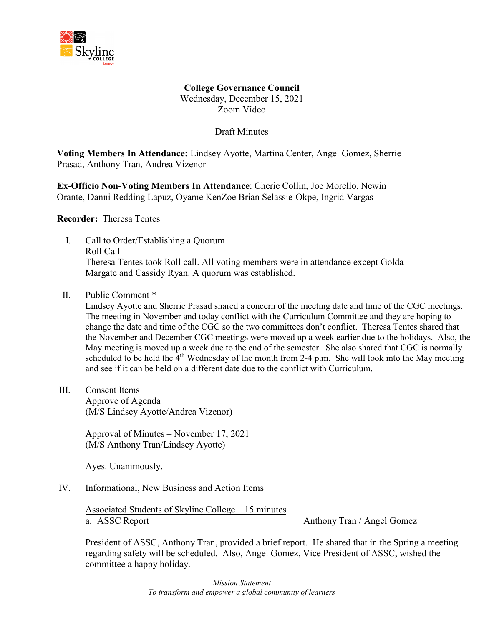

**College Governance Council** Wednesday, December 15, 2021 Zoom Video

Draft Minutes

**Voting Members In Attendance:** Lindsey Ayotte, Martina Center, Angel Gomez, Sherrie Prasad, Anthony Tran, Andrea Vizenor

**Ex-Officio Non-Voting Members In Attendance**: Cherie Collin, Joe Morello, Newin Orante, Danni Redding Lapuz, Oyame KenZoe Brian Selassie-Okpe, Ingrid Vargas

**Recorder:** Theresa Tentes

- I. Call to Order/Establishing a Quorum Roll Call Theresa Tentes took Roll call. All voting members were in attendance except Golda Margate and Cassidy Ryan. A quorum was established.
- II. Public Comment \*

Lindsey Ayotte and Sherrie Prasad shared a concern of the meeting date and time of the CGC meetings. The meeting in November and today conflict with the Curriculum Committee and they are hoping to change the date and time of the CGC so the two committees don't conflict. Theresa Tentes shared that the November and December CGC meetings were moved up a week earlier due to the holidays. Also, the May meeting is moved up a week due to the end of the semester. She also shared that CGC is normally scheduled to be held the  $4<sup>th</sup>$  Wednesday of the month from 2-4 p.m. She will look into the May meeting and see if it can be held on a different date due to the conflict with Curriculum.

III. Consent Items

Approve of Agenda (M/S Lindsey Ayotte/Andrea Vizenor)

Approval of Minutes – November 17, 2021 (M/S Anthony Tran/Lindsey Ayotte)

Ayes. Unanimously.

IV. Informational, New Business and Action Items

Associated Students of Skyline College – 15 minutes a. ASSC Report Anthony Tran / Angel Gomez

President of ASSC, Anthony Tran, provided a brief report. He shared that in the Spring a meeting regarding safety will be scheduled. Also, Angel Gomez, Vice President of ASSC, wished the committee a happy holiday.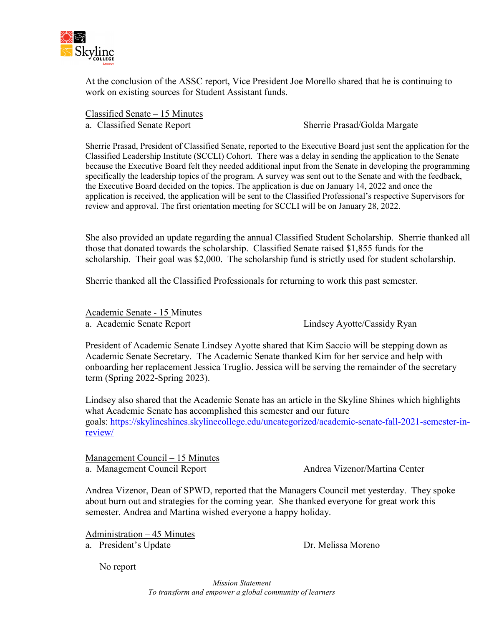

At the conclusion of the ASSC report, Vice President Joe Morello shared that he is continuing to work on existing sources for Student Assistant funds.

Classified Senate – 15 Minutes a. Classified Senate Report Sherrie Prasad/Golda Margate

Sherrie Prasad, President of Classified Senate, reported to the Executive Board just sent the application for the Classified Leadership Institute (SCCLI) Cohort. There was a delay in sending the application to the Senate because the Executive Board felt they needed additional input from the Senate in developing the programming specifically the leadership topics of the program. A survey was sent out to the Senate and with the feedback, the Executive Board decided on the topics. The application is due on January 14, 2022 and once the application is received, the application will be sent to the Classified Professional's respective Supervisors for review and approval. The first orientation meeting for SCCLI will be on January 28, 2022.

She also provided an update regarding the annual Classified Student Scholarship. Sherrie thanked all those that donated towards the scholarship. Classified Senate raised \$1,855 funds for the scholarship. Their goal was \$2,000. The scholarship fund is strictly used for student scholarship.

Sherrie thanked all the Classified Professionals for returning to work this past semester.

Academic Senate - 15 Minutes a. Academic Senate Report Lindsey Ayotte/Cassidy Ryan

President of Academic Senate Lindsey Ayotte shared that Kim Saccio will be stepping down as Academic Senate Secretary. The Academic Senate thanked Kim for her service and help with onboarding her replacement Jessica Truglio. Jessica will be serving the remainder of the secretary term (Spring 2022-Spring 2023).

Lindsey also shared that the Academic Senate has an article in the Skyline Shines which highlights what Academic Senate has accomplished this semester and our future goals: [https://skylineshines.skylinecollege.edu/uncategorized/academic-senate-fall-2021-semester-in](https://skylineshines.skylinecollege.edu/uncategorized/academic-senate-fall-2021-semester-in-review/)[review/](https://skylineshines.skylinecollege.edu/uncategorized/academic-senate-fall-2021-semester-in-review/)

Management Council – 15 Minutes a. Management Council Report Andrea Vizenor/Martina Center

Andrea Vizenor, Dean of SPWD, reported that the Managers Council met yesterday. They spoke about burn out and strategies for the coming year. She thanked everyone for great work this semester. Andrea and Martina wished everyone a happy holiday.

Administration – 45 Minutes

a. President's Update Dr. Melissa Moreno

No report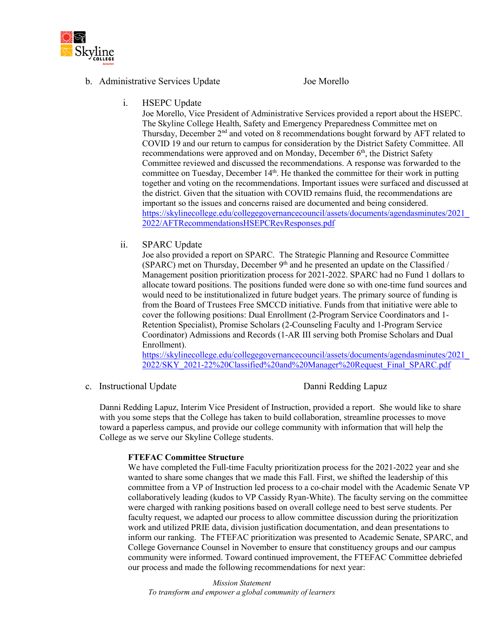

#### b. Administrative Services Update Joe Morello

i. HSEPC Update

Joe Morello, Vice President of Administrative Services provided a report about the HSEPC. The Skyline College Health, Safety and Emergency Preparedness Committee met on Thursday, December 2nd and voted on 8 recommendations bought forward by AFT related to COVID 19 and our return to campus for consideration by the District Safety Committee. All recommendations were approved and on Monday, December 6<sup>th</sup>, the District Safety Committee reviewed and discussed the recommendations. A response was forwarded to the committee on Tuesday, December 14<sup>th</sup>. He thanked the committee for their work in putting together and voting on the recommendations. Important issues were surfaced and discussed at the district. Given that the situation with COVID remains fluid, the recommendations are important so the issues and concerns raised are documented and being considered. [https://skylinecollege.edu/collegegovernancecouncil/assets/documents/agendasminutes/2021\\_](https://skylinecollege.edu/collegegovernancecouncil/assets/documents/agendasminutes/2021_2022/AFTRecommendationsHSEPCRevResponses.pdf) [2022/AFTRecommendationsHSEPCRevResponses.pdf](https://skylinecollege.edu/collegegovernancecouncil/assets/documents/agendasminutes/2021_2022/AFTRecommendationsHSEPCRevResponses.pdf)

#### ii. SPARC Update

Joe also provided a report on SPARC. The Strategic Planning and Resource Committee  $(SPARC)$  met on Thursday, December 9<sup>th</sup> and he presented an update on the Classified / Management position prioritization process for 2021-2022. SPARC had no Fund 1 dollars to allocate toward positions. The positions funded were done so with one-time fund sources and would need to be institutionalized in future budget years. The primary source of funding is from the Board of Trustees Free SMCCD initiative. Funds from that initiative were able to cover the following positions: Dual Enrollment (2-Program Service Coordinators and 1- Retention Specialist), Promise Scholars (2-Counseling Faculty and 1-Program Service Coordinator) Admissions and Records (1-AR III serving both Promise Scholars and Dual Enrollment).

[https://skylinecollege.edu/collegegovernancecouncil/assets/documents/agendasminutes/2021\\_](https://skylinecollege.edu/collegegovernancecouncil/assets/documents/agendasminutes/2021_2022/SKY_2021-22%20Classified%20and%20Manager%20Request_Final_SPARC.pdf) [2022/SKY\\_2021-22%20Classified%20and%20Manager%20Request\\_Final\\_SPARC.pdf](https://skylinecollege.edu/collegegovernancecouncil/assets/documents/agendasminutes/2021_2022/SKY_2021-22%20Classified%20and%20Manager%20Request_Final_SPARC.pdf)

c. Instructional Update Danni Redding Lapuz

Danni Redding Lapuz, Interim Vice President of Instruction, provided a report. She would like to share with you some steps that the College has taken to build collaboration, streamline processes to move toward a paperless campus, and provide our college community with information that will help the College as we serve our Skyline College students.

#### **FTEFAC Committee Structure**

We have completed the Full-time Faculty prioritization process for the 2021-2022 year and she wanted to share some changes that we made this Fall. First, we shifted the leadership of this committee from a VP of Instruction led process to a co-chair model with the Academic Senate VP collaboratively leading (kudos to VP Cassidy Ryan-White). The faculty serving on the committee were charged with ranking positions based on overall college need to best serve students. Per faculty request, we adapted our process to allow committee discussion during the prioritization work and utilized PRIE data, division justification documentation, and dean presentations to inform our ranking. The FTEFAC prioritization was presented to Academic Senate, SPARC, and College Governance Counsel in November to ensure that constituency groups and our campus community were informed. Toward continued improvement, the FTEFAC Committee debriefed our process and made the following recommendations for next year: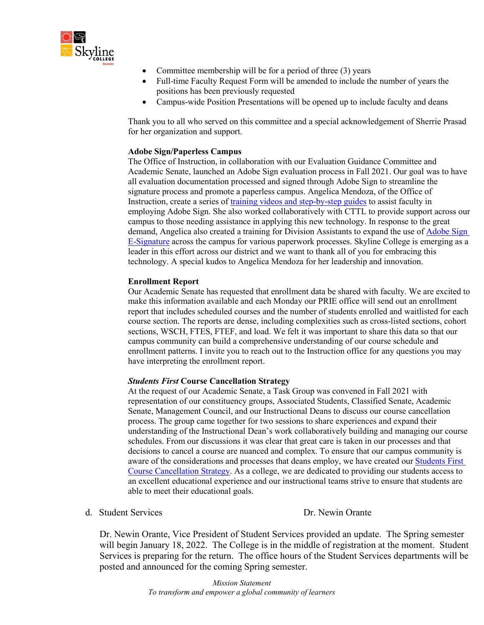

- Committee membership will be for a period of three (3) years
- Full-time Faculty Request Form will be amended to include the number of years the positions has been previously requested
- Campus-wide Position Presentations will be opened up to include faculty and deans

Thank you to all who served on this committee and a special acknowledgement of Sherrie Prasad for her organization and support.

#### **Adobe Sign/Paperless Campus**

The Office of Instruction, in collaboration with our Evaluation Guidance Committee and Academic Senate, launched an Adobe Sign evaluation process in Fall 2021. Our goal was to have all evaluation documentation processed and signed through Adobe Sign to streamline the signature process and promote a paperless campus. Angelica Mendoza, of the Office of Instruction, create a series of [training videos and step-by-step guides](https://skylinecollege.edu/instructionoffice/adobesign-facultyevaluationtemplates.php) to assist faculty in employing Adobe Sign. She also worked collaboratively with CTTL to provide support across our campus to those needing assistance in applying this new technology. In response to the great demand, Angelica also created a training for Division Assistants to expand the use of [Adobe Sign](https://skylinecollege.edu/instructionoffice/adobesign-esignature.php)  [E-Signature](https://skylinecollege.edu/instructionoffice/adobesign-esignature.php) across the campus for various paperwork processes. Skyline College is emerging as a leader in this effort across our district and we want to thank all of you for embracing this technology. A special kudos to Angelica Mendoza for her leadership and innovation.

#### **Enrollment Report**

Our Academic Senate has requested that enrollment data be shared with faculty. We are excited to make this information available and each Monday our PRIE office will send out an enrollment report that includes scheduled courses and the number of students enrolled and waitlisted for each course section. The reports are dense, including complexities such as cross-listed sections, cohort sections, WSCH, FTES, FTEF, and load. We felt it was important to share this data so that our campus community can build a comprehensive understanding of our course schedule and enrollment patterns. I invite you to reach out to the Instruction office for any questions you may have interpreting the enrollment report.

#### *Students First* **Course Cancellation Strategy**

At the request of our Academic Senate, a Task Group was convened in Fall 2021 with representation of our constituency groups, Associated Students, Classified Senate, Academic Senate, Management Council, and our Instructional Deans to discuss our course cancellation process. The group came together for two sessions to share experiences and expand their understanding of the Instructional Dean's work collaboratively building and managing our course schedules. From our discussions it was clear that great care is taken in our processes and that decisions to cancel a course are nuanced and complex. To ensure that our campus community is aware of the considerations and processes that deans employ, we have created our [Students First](https://skylinecollege.edu/instructionoffice/studentsfirstcoursecancellationstrategy.php)  [Course Cancellation Strategy.](https://skylinecollege.edu/instructionoffice/studentsfirstcoursecancellationstrategy.php) As a college, we are dedicated to providing our students access to an excellent educational experience and our instructional teams strive to ensure that students are able to meet their educational goals.

#### d. Student Services Dr. Newin Orante

Dr. Newin Orante, Vice President of Student Services provided an update. The Spring semester will begin January 18, 2022. The College is in the middle of registration at the moment. Student Services is preparing for the return. The office hours of the Student Services departments will be posted and announced for the coming Spring semester.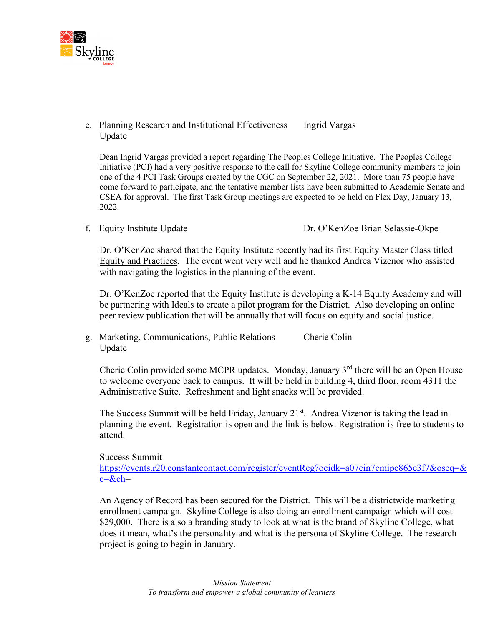

e. Planning Research and Institutional Effectiveness Ingrid Vargas Update

Dean Ingrid Vargas provided a report regarding The Peoples College Initiative. The Peoples College Initiative (PCI) had a very positive response to the call for Skyline College community members to join one of the 4 PCI Task Groups created by the CGC on September 22, 2021. More than 75 people have come forward to participate, and the tentative member lists have been submitted to Academic Senate and CSEA for approval. The first Task Group meetings are expected to be held on Flex Day, January 13, 2022.

f. Equity Institute Update Dr. O'KenZoe Brian Selassie-Okpe

Dr. O'KenZoe shared that the Equity Institute recently had its first Equity Master Class titled Equity and Practices. The event went very well and he thanked Andrea Vizenor who assisted with navigating the logistics in the planning of the event.

Dr. O'KenZoe reported that the Equity Institute is developing a K-14 Equity Academy and will be partnering with Ideals to create a pilot program for the District. Also developing an online peer review publication that will be annually that will focus on equity and social justice.

g. Marketing, Communications, Public Relations Cherie Colin Update

Cherie Colin provided some MCPR updates. Monday, January  $3<sup>rd</sup>$  there will be an Open House to welcome everyone back to campus. It will be held in building 4, third floor, room 4311 the Administrative Suite. Refreshment and light snacks will be provided.

The Success Summit will be held Friday, January  $21^{st}$ . Andrea Vizenor is taking the lead in planning the event. Registration is open and the link is below. Registration is free to students to attend.

Success Summit

[https://events.r20.constantcontact.com/register/eventReg?oeidk=a07ein7cmipe865e3f7&oseq=&](https://events.r20.constantcontact.com/register/eventReg?oeidk=a07ein7cmipe865e3f7&oseq=&c=&ch) [c=&ch=](https://events.r20.constantcontact.com/register/eventReg?oeidk=a07ein7cmipe865e3f7&oseq=&c=&ch)

An Agency of Record has been secured for the District. This will be a districtwide marketing enrollment campaign. Skyline College is also doing an enrollment campaign which will cost \$29,000. There is also a branding study to look at what is the brand of Skyline College, what does it mean, what's the personality and what is the persona of Skyline College. The research project is going to begin in January.